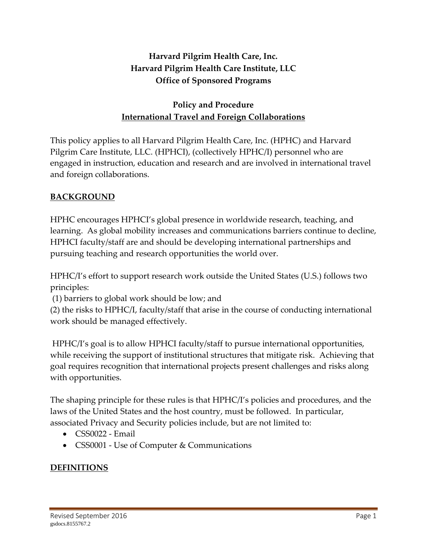# **Harvard Pilgrim Health Care, Inc. Harvard Pilgrim Health Care Institute, LLC Office of Sponsored Programs**

# **Policy and Procedure International Travel and Foreign Collaborations**

This policy applies to all Harvard Pilgrim Health Care, Inc. (HPHC) and Harvard Pilgrim Care Institute, LLC. (HPHCI), (collectively HPHC/I) personnel who are engaged in instruction, education and research and are involved in international travel and foreign collaborations.

### **BACKGROUND**

HPHC encourages HPHCI's global presence in worldwide research, teaching, and learning. As global mobility increases and communications barriers continue to decline, HPHCI faculty/staff are and should be developing international partnerships and pursuing teaching and research opportunities the world over.

HPHC/I's effort to support research work outside the United States (U.S.) follows two principles:

(1) barriers to global work should be low; and

(2) the risks to HPHC/I, faculty/staff that arise in the course of conducting international work should be managed effectively.

HPHC/I's goal is to allow HPHCI faculty/staff to pursue international opportunities, while receiving the support of institutional structures that mitigate risk. Achieving that goal requires recognition that international projects present challenges and risks along with opportunities.

The shaping principle for these rules is that HPHC/I's policies and procedures, and the laws of the United States and the host country, must be followed. In particular, associated Privacy and Security policies include, but are not limited to:

- CSS0022 Email
- CSS0001 Use of Computer & Communications

## **DEFINITIONS**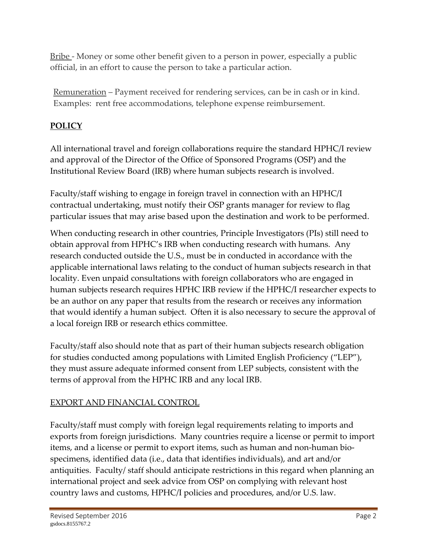Bribe - Money or some other benefit given to a person in power, especially a public official, in an effort to cause the person to take a particular action.

Remuneration – Payment received for rendering services, can be in cash or in kind. Examples: rent free accommodations, telephone expense reimbursement.

# **POLICY**

All international travel and foreign collaborations require the standard HPHC/I review and approval of the Director of the Office of Sponsored Programs (OSP) and the Institutional Review Board (IRB) where human subjects research is involved.

Faculty/staff wishing to engage in foreign travel in connection with an HPHC/I contractual undertaking, must notify their OSP grants manager for review to flag particular issues that may arise based upon the destination and work to be performed.

When conducting research in other countries, Principle Investigators (PIs) still need to obtain approval from HPHC's IRB when conducting research with humans. Any research conducted outside the U.S., must be in conducted in accordance with the applicable international laws relating to the conduct of human subjects research in that locality. Even unpaid consultations with foreign collaborators who are engaged in human subjects research requires HPHC IRB review if the HPHC/I researcher expects to be an author on any paper that results from the research or receives any information that would identify a human subject. Often it is also necessary to secure the approval of a local foreign IRB or research ethics committee.

Faculty/staff also should note that as part of their human subjects research obligation for studies conducted among populations with Limited English Proficiency ("LEP"), they must assure adequate informed consent from LEP subjects, consistent with the terms of approval from the HPHC IRB and any local IRB.

## EXPORT AND FINANCIAL CONTROL

Faculty/staff must comply with foreign legal requirements relating to imports and exports from foreign jurisdictions. Many countries require a license or permit to import items, and a license or permit to export items, such as human and non-human biospecimens, identified data (i.e., data that identifies individuals), and art and/or antiquities. Faculty/ staff should anticipate restrictions in this regard when planning an international project and seek advice from OSP on complying with relevant host country laws and customs, HPHC/I policies and procedures, and/or U.S. law.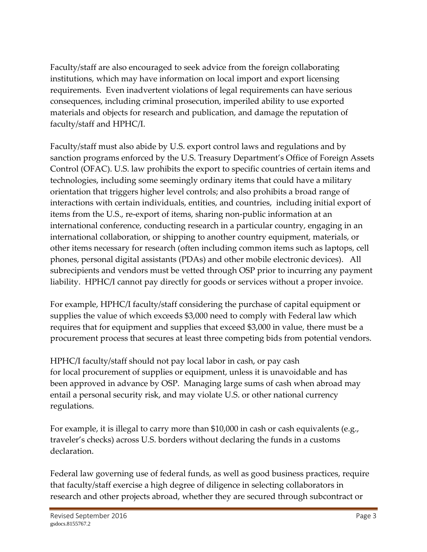Faculty/staff are also encouraged to seek advice from the foreign collaborating institutions, which may have information on local import and export licensing requirements. Even inadvertent violations of legal requirements can have serious consequences, including criminal prosecution, imperiled ability to use exported materials and objects for research and publication, and damage the reputation of faculty/staff and HPHC/I.

Faculty/staff must also abide by U.S. export control laws and regulations and by sanction programs enforced by the U.S. Treasury Department's Office of Foreign Assets Control (OFAC). U.S. law prohibits the export to specific countries of certain items and technologies, including some seemingly ordinary items that could have a military orientation that triggers higher level controls; and also prohibits a broad range of interactions with certain individuals, entities, and countries, including initial export of items from the U.S., re-export of items, sharing non-public information at an international conference, conducting research in a particular country, engaging in an international collaboration, or shipping to another country equipment, materials, or other items necessary for research (often including common items such as laptops, cell phones, personal digital assistants (PDAs) and other mobile electronic devices). All subrecipients and vendors must be vetted through OSP prior to incurring any payment liability. HPHC/I cannot pay directly for goods or services without a proper invoice.

For example, HPHC/I faculty/staff considering the purchase of capital equipment or supplies the value of which exceeds \$3,000 need to comply with Federal law which requires that for equipment and supplies that exceed \$3,000 in value, there must be a procurement process that secures at least three competing bids from potential vendors.

HPHC/I faculty/staff should not pay local labor in cash, or pay cash for local procurement of supplies or equipment, unless it is unavoidable and has been approved in advance by OSP. Managing large sums of cash when abroad may entail a personal security risk, and may violate U.S. or other national currency regulations.

For example, it is illegal to carry more than \$10,000 in cash or cash equivalents (e.g., traveler's checks) across U.S. borders without declaring the funds in a customs declaration.

Federal law governing use of federal funds, as well as good business practices, require that faculty/staff exercise a high degree of diligence in selecting collaborators in research and other projects abroad, whether they are secured through subcontract or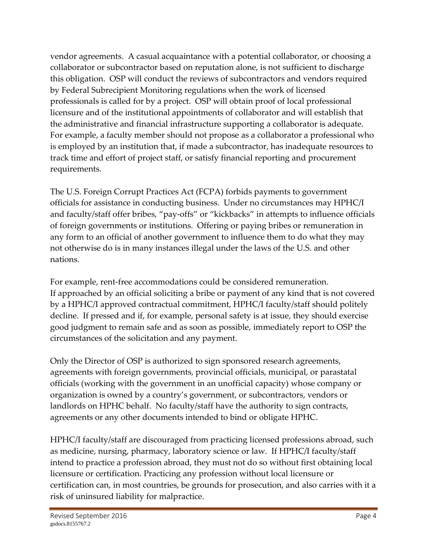vendor agreements. A casual acquaintance with a potential collaborator, or choosing a collaborator or subcontractor based on reputation alone, is not sufficient to discharge this obligation. OSP will conduct the reviews of subcontractors and vendors required by Federal Subrecipient Monitoring regulations when the work of licensed professionals is called for by a project. OSP will obtain proof of local professional licensure and of the institutional appointments of collaborator and will establish that the administrative and financial infrastructure supporting a collaborator is adequate. For example, a faculty member should not propose as a collaborator a professional who is employed by an institution that, if made a subcontractor, has inadequate resources to track time and effort of project staff, or satisfy financial reporting and procurement requirements.

The U.S. Foreign Corrupt Practices Act (FCPA) forbids payments to government officials for assistance in conducting business. Under no circumstances may HPHC/I and faculty/staff offer bribes, "pay-offs" or "kickbacks" in attempts to influence officials of foreign governments or institutions. Offering or paying bribes or remuneration in any form to an official of another government to influence them to do what they may not otherwise do is in many instances illegal under the laws of the U.S. and other nations.

For example, rent-free accommodations could be considered remuneration. If approached by an official soliciting a bribe or payment of any kind that is not covered by a HPHC/I approved contractual commitment, HPHC/I faculty/staff should politely decline. If pressed and if, for example, personal safety is at issue, they should exercise good judgment to remain safe and as soon as possible, immediately report to OSP the circumstances of the solicitation and any payment.

Only the Director of OSP is authorized to sign sponsored research agreements, agreements with foreign governments, provincial officials, municipal, or parastatal officials (working with the government in an unofficial capacity) whose company or organization is owned by a country's government, or subcontractors, vendors or landlords on HPHC behalf. No faculty/staff have the authority to sign contracts, agreements or any other documents intended to bind or obligate HPHC.

HPHC/I faculty/staff are discouraged from practicing licensed professions abroad, such as medicine, nursing, pharmacy, laboratory science or law. If HPHC/I faculty/staff intend to practice a profession abroad, they must not do so without first obtaining local licensure or certification. Practicing any profession without local licensure or certification can, in most countries, be grounds for prosecution, and also carries with it a risk of uninsured liability for malpractice.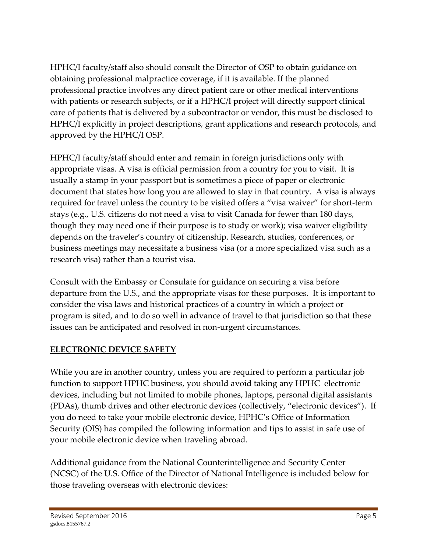HPHC/I faculty/staff also should consult the Director of OSP to obtain guidance on obtaining professional malpractice coverage, if it is available. If the planned professional practice involves any direct patient care or other medical interventions with patients or research subjects, or if a HPHC/I project will directly support clinical care of patients that is delivered by a subcontractor or vendor, this must be disclosed to HPHC/I explicitly in project descriptions, grant applications and research protocols, and approved by the HPHC/I OSP.

HPHC/I faculty/staff should enter and remain in foreign jurisdictions only with appropriate visas. A visa is official permission from a country for you to visit. It is usually a stamp in your passport but is sometimes a piece of paper or electronic document that states how long you are allowed to stay in that country. A visa is always required for travel unless the country to be visited offers a "visa waiver" for short-term stays (e.g., U.S. citizens do not need a visa to visit Canada for fewer than 180 days, though they may need one if their purpose is to study or work); visa waiver eligibility depends on the traveler's country of citizenship. Research, studies, conferences, or business meetings may necessitate a business visa (or a more specialized visa such as a research visa) rather than a tourist visa.

Consult with the Embassy or Consulate for guidance on securing a visa before departure from the U.S., and the appropriate visas for these purposes. It is important to consider the visa laws and historical practices of a country in which a project or program is sited, and to do so well in advance of travel to that jurisdiction so that these issues can be anticipated and resolved in non-urgent circumstances.

## **ELECTRONIC DEVICE SAFETY**

While you are in another country, unless you are required to perform a particular job function to support HPHC business, you should avoid taking any HPHC electronic devices, including but not limited to mobile phones, laptops, personal digital assistants (PDAs), thumb drives and other electronic devices (collectively, "electronic devices"). If you do need to take your mobile electronic device, HPHC's Office of Information Security (OIS) has compiled the following information and tips to assist in safe use of your mobile electronic device when traveling abroad.

Additional guidance from the National Counterintelligence and Security Center (NCSC) of the U.S. Office of the Director of National Intelligence is included below for those traveling overseas with electronic devices: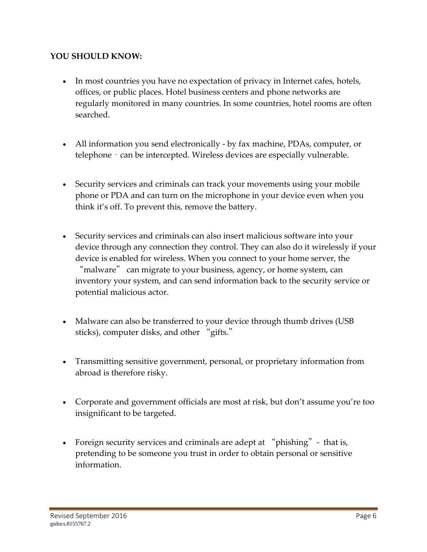#### **YOU SHOULD KNOW:**

- In most countries you have no expectation of privacy in Internet cafes, hotels, offices, or public places. Hotel business centers and phone networks are regularly monitored in many countries. In some countries, hotel rooms are often searched.
- All information you send electronically by fax machine, PDAs, computer, or telephone – can be intercepted. Wireless devices are especially vulnerable.
- Security services and criminals can track your movements using your mobile phone or PDA and can turn on the microphone in your device even when you think it's off. To prevent this, remove the battery.
- Security services and criminals can also insert malicious software into your device through any connection they control. They can also do it wirelessly if your device is enabled for wireless. When you connect to your home server, the "malware" can migrate to your business, agency, or home system, can inventory your system, and can send information back to the security service or potential malicious actor.
- Malware can also be transferred to your device through thumb drives (USB sticks), computer disks, and other "gifts."
- Transmitting sensitive government, personal, or proprietary information from abroad is therefore risky.
- Corporate and government officials are most at risk, but don't assume you're too insignificant to be targeted.
- Foreign security services and criminals are adept at "phishing" that is, pretending to be someone you trust in order to obtain personal or sensitive information.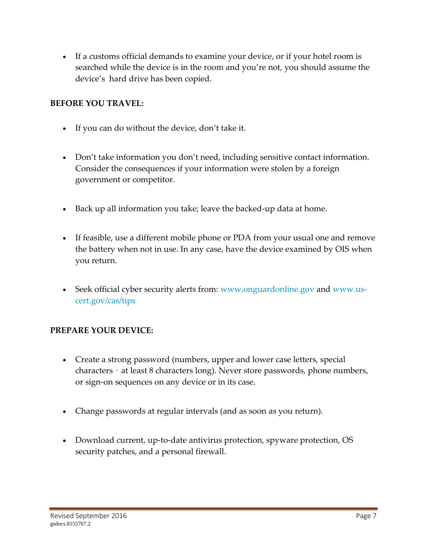If a customs official demands to examine your device, or if your hotel room is searched while the device is in the room and you're not, you should assume the device's hard drive has been copied.

### **BEFORE YOU TRAVEL:**

- If you can do without the device, don't take it.
- Don't take information you don't need, including sensitive contact information. Consider the consequences if your information were stolen by a foreign government or competitor.
- Back up all information you take; leave the backed-up data at home.
- If feasible, use a different mobile phone or PDA from your usual one and remove the battery when not in use. In any case, have the device examined by OIS when you return.
- Seek official cyber security alerts from: [www.onguardonline.gov](http://www.onguardonline.gov/) and [www.us](http://www.us-cert.gov/ncas/tips)[cert.gov/cas/tips](http://www.us-cert.gov/ncas/tips)

### **PREPARE YOUR DEVICE:**

- Create a strong password (numbers, upper and lower case letters, special characters – at least 8 characters long). Never store passwords, phone numbers, or sign-on sequences on any device or in its case.
- Change passwords at regular intervals (and as soon as you return).
- Download current, up-to-date antivirus protection, spyware protection, OS security patches, and a personal firewall.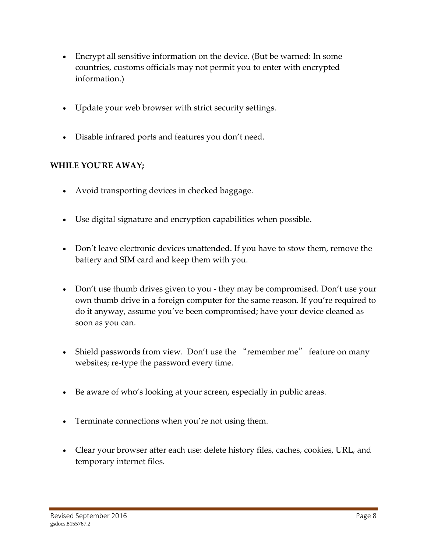- Encrypt all sensitive information on the device. (But be warned: In some countries, customs officials may not permit you to enter with encrypted information.)
- Update your web browser with strict security settings.
- Disable infrared ports and features you don't need.

#### **WHILE YOU'RE AWAY;**

- Avoid transporting devices in checked baggage.
- Use digital signature and encryption capabilities when possible.
- Don't leave electronic devices unattended. If you have to stow them, remove the battery and SIM card and keep them with you.
- Don't use thumb drives given to you they may be compromised. Don't use your own thumb drive in a foreign computer for the same reason. If you're required to do it anyway, assume you've been compromised; have your device cleaned as soon as you can.
- Shield passwords from view. Don't use the "remember me" feature on many websites; re-type the password every time.
- Be aware of who's looking at your screen, especially in public areas.
- Terminate connections when you're not using them.
- Clear your browser after each use: delete history files, caches, cookies, URL, and temporary internet files.